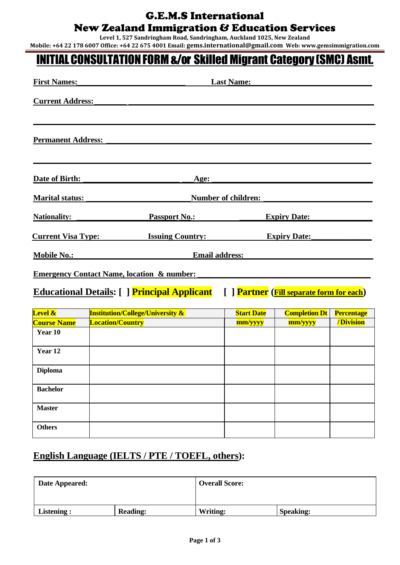#### G.E.M.S International

### New Zealand Immigration & Education Services

**Level 1, 527 Sandringham Road, Sandringham, Auckland 1025, New Zealand**

**Mobile: +64 22 178 6007 Office: +64 22 675 4001 Email: gems.international@gmail.com Web: www.gemsimmigration.com**

# INITIALCONSULTATIONFORM&/or Skilled Migrant Category (SMC) Asmt.

| <b>First Names:</b>                                                                                     | <b>Last Name:</b>                           |                   |                      |                   |
|---------------------------------------------------------------------------------------------------------|---------------------------------------------|-------------------|----------------------|-------------------|
| <b>Current Address:</b>                                                                                 |                                             |                   |                      |                   |
|                                                                                                         |                                             |                   |                      |                   |
| <b>Permanent Address:</b>                                                                               |                                             |                   |                      |                   |
|                                                                                                         |                                             |                   |                      |                   |
|                                                                                                         |                                             |                   |                      |                   |
| Date of Birth:                                                                                          | Age:                                        |                   |                      |                   |
| <b>Marital status:</b>                                                                                  | <b>Number of children:</b>                  |                   |                      |                   |
| <b>Nationality:</b><br><b>Passport No.:</b><br><b>Expiry Date:</b>                                      |                                             |                   |                      |                   |
| <b>Issuing Country:</b><br><b>Current Visa Type:</b>                                                    |                                             |                   | <b>Expiry Date:</b>  |                   |
| <b>Mobile No.:</b>                                                                                      | <b>Email address:</b>                       |                   |                      |                   |
|                                                                                                         |                                             |                   |                      |                   |
| <b>Emergency Contact Name, location &amp; number:</b>                                                   |                                             |                   |                      |                   |
| <b>Educational Details:</b> [ ] <b>Principal Applicant</b><br>[ ] Partner (Fill separate form for each) |                                             |                   |                      |                   |
| <b>Level &amp;</b>                                                                                      | <b>Institution/College/University &amp;</b> | <b>Start Date</b> | <b>Completion Dt</b> | <b>Percentage</b> |
| <b>Course Name</b>                                                                                      | <b>Location/Country</b>                     | mm/yyyy           | mm/yyyy              | /Division         |
| Year 10                                                                                                 |                                             |                   |                      |                   |
| Year <sub>12</sub>                                                                                      |                                             |                   |                      |                   |

#### **English Language (IELTS / PTE / TOEFL, others):**

**Diploma**

**Bachelor**

**Master**

**Others**

| Date Appeared: |                 | <b>Overall Score:</b> |                  |  |
|----------------|-----------------|-----------------------|------------------|--|
| Listening :    | <b>Reading:</b> | Writing:              | <b>Speaking:</b> |  |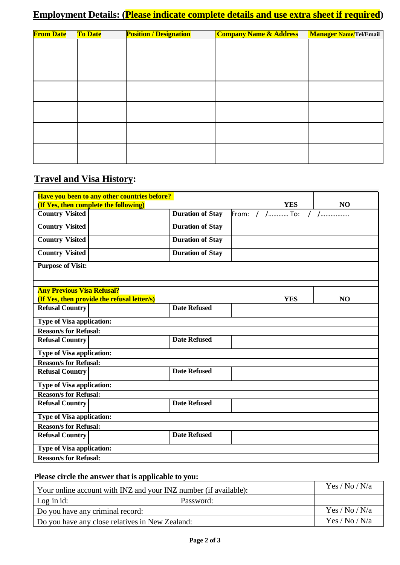## **Employment Details: (Please indicate complete details and use extra sheet if required)**

| <b>From Date</b> | To Date | <b>Position / Designation</b> | <b>Company Name &amp; Address</b> | <b>Manager Name/Tel/Email</b> |
|------------------|---------|-------------------------------|-----------------------------------|-------------------------------|
|                  |         |                               |                                   |                               |
|                  |         |                               |                                   |                               |
|                  |         |                               |                                   |                               |
|                  |         |                               |                                   |                               |
|                  |         |                               |                                   |                               |
|                  |         |                               |                                   |                               |
|                  |         |                               |                                   |                               |
|                  |         |                               |                                   |                               |
|                  |         |                               |                                   |                               |
|                  |         |                               |                                   |                               |
|                  |         |                               |                                   |                               |
|                  |         |                               |                                   |                               |

## **Travel and Visa History:**

|                                              | Have you been to any other countries before? |                         |                |            |                |
|----------------------------------------------|----------------------------------------------|-------------------------|----------------|------------|----------------|
| <b>(If Yes, then complete the following)</b> |                                              |                         |                | <b>YES</b> | N <sub>O</sub> |
| <b>Country Visited</b>                       |                                              | <b>Duration of Stay</b> | From: / /  To: |            | $/$            |
| <b>Country Visited</b>                       |                                              | <b>Duration of Stay</b> |                |            |                |
| <b>Country Visited</b>                       |                                              | <b>Duration of Stay</b> |                |            |                |
| <b>Country Visited</b>                       |                                              | <b>Duration of Stay</b> |                |            |                |
| <b>Purpose of Visit:</b>                     |                                              |                         |                |            |                |
| <b>Any Previous Visa Refusal?</b>            |                                              |                         |                |            |                |
| (If Yes, then provide the refusal letter/s)  |                                              |                         |                | <b>YES</b> | N <sub>O</sub> |
| <b>Refusal Country</b>                       |                                              | <b>Date Refused</b>     |                |            |                |
| <b>Type of Visa application:</b>             |                                              |                         |                |            |                |
| <b>Reason/s for Refusal:</b>                 |                                              |                         |                |            |                |
| <b>Refusal Country</b>                       |                                              | <b>Date Refused</b>     |                |            |                |
| Type of Visa application:                    |                                              |                         |                |            |                |
| <b>Reason/s for Refusal:</b>                 |                                              |                         |                |            |                |
| <b>Refusal Country</b>                       |                                              | <b>Date Refused</b>     |                |            |                |
| <b>Type of Visa application:</b>             |                                              |                         |                |            |                |
| <b>Reason/s for Refusal:</b>                 |                                              |                         |                |            |                |
| <b>Refusal Country</b>                       |                                              | <b>Date Refused</b>     |                |            |                |
| <b>Type of Visa application:</b>             |                                              |                         |                |            |                |
| <b>Reason/s for Refusal:</b>                 |                                              |                         |                |            |                |
| <b>Refusal Country</b>                       |                                              | <b>Date Refused</b>     |                |            |                |
| Type of Visa application:                    |                                              |                         |                |            |                |
| <b>Reason/s for Refusal:</b>                 |                                              |                         |                |            |                |

## **Please circle the answer that is applicable to you:**

| Your online account with INZ and your INZ number (if available): | Yes / No / N/a |
|------------------------------------------------------------------|----------------|
| Log in $id$ :<br>Password:                                       |                |
| Do you have any criminal record:                                 | Yes / No / N/a |
| Do you have any close relatives in New Zealand:                  | Yes / No / N/a |